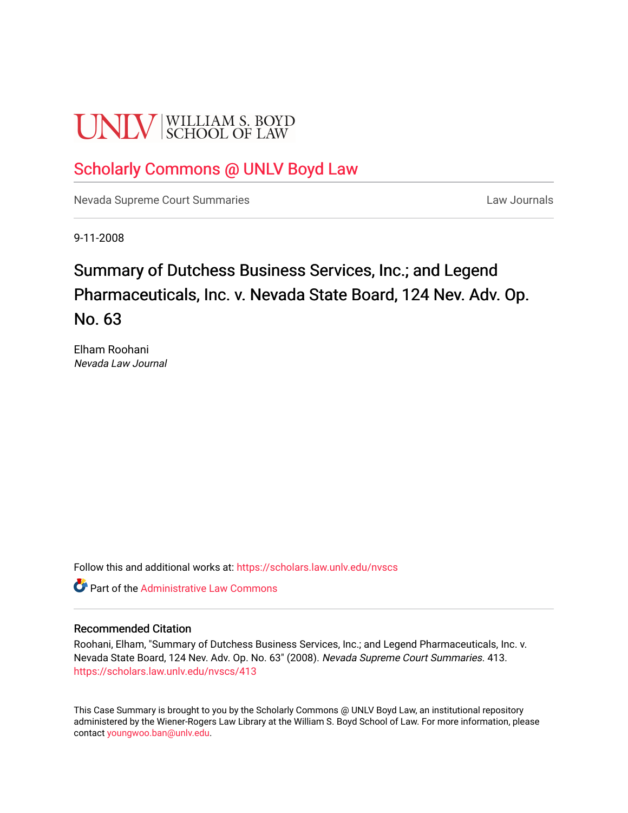# **UNLV** SCHOOL OF LAW

# [Scholarly Commons @ UNLV Boyd Law](https://scholars.law.unlv.edu/)

[Nevada Supreme Court Summaries](https://scholars.law.unlv.edu/nvscs) **Law Journals** Law Journals

9-11-2008

# Summary of Dutchess Business Services, Inc.; and Legend Pharmaceuticals, Inc. v. Nevada State Board, 124 Nev. Adv. Op. No. 63

Elham Roohani Nevada Law Journal

Follow this and additional works at: [https://scholars.law.unlv.edu/nvscs](https://scholars.law.unlv.edu/nvscs?utm_source=scholars.law.unlv.edu%2Fnvscs%2F413&utm_medium=PDF&utm_campaign=PDFCoverPages)

**C** Part of the Administrative Law Commons

#### Recommended Citation

Roohani, Elham, "Summary of Dutchess Business Services, Inc.; and Legend Pharmaceuticals, Inc. v. Nevada State Board, 124 Nev. Adv. Op. No. 63" (2008). Nevada Supreme Court Summaries. 413. [https://scholars.law.unlv.edu/nvscs/413](https://scholars.law.unlv.edu/nvscs/413?utm_source=scholars.law.unlv.edu%2Fnvscs%2F413&utm_medium=PDF&utm_campaign=PDFCoverPages)

This Case Summary is brought to you by the Scholarly Commons @ UNLV Boyd Law, an institutional repository administered by the Wiener-Rogers Law Library at the William S. Boyd School of Law. For more information, please contact [youngwoo.ban@unlv.edu](mailto:youngwoo.ban@unlv.edu).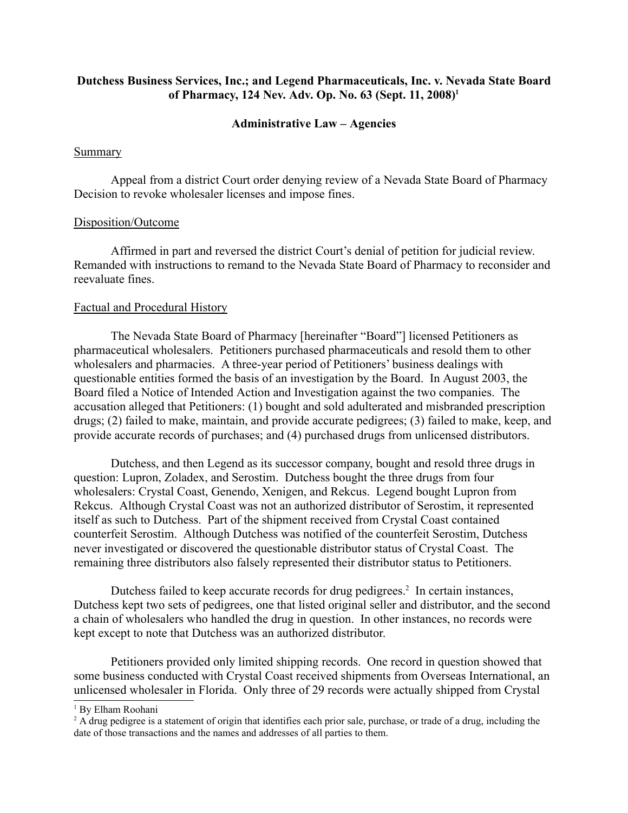# **Dutchess Business Services, Inc.; and Legend Pharmaceuticals, Inc. v. Nevada State Board of Pharmacy, 124 Nev. Adv. Op. No. 63 (Sept. 11, 2008)1**

#### **Administrative Law – Agencies**

#### **Summary**

Appeal from a district Court order denying review of a Nevada State Board of Pharmacy Decision to revoke wholesaler licenses and impose fines.

#### Disposition/Outcome

Affirmed in part and reversed the district Court's denial of petition for judicial review. Remanded with instructions to remand to the Nevada State Board of Pharmacy to reconsider and reevaluate fines.

#### Factual and Procedural History

The Nevada State Board of Pharmacy [hereinafter "Board"] licensed Petitioners as pharmaceutical wholesalers. Petitioners purchased pharmaceuticals and resold them to other wholesalers and pharmacies. A three-year period of Petitioners' business dealings with questionable entities formed the basis of an investigation by the Board. In August 2003, the Board filed a Notice of Intended Action and Investigation against the two companies. The accusation alleged that Petitioners: (1) bought and sold adulterated and misbranded prescription drugs; (2) failed to make, maintain, and provide accurate pedigrees; (3) failed to make, keep, and provide accurate records of purchases; and (4) purchased drugs from unlicensed distributors.

Dutchess, and then Legend as its successor company, bought and resold three drugs in question: Lupron, Zoladex, and Serostim. Dutchess bought the three drugs from four wholesalers: Crystal Coast, Genendo, Xenigen, and Rekcus. Legend bought Lupron from Rekcus. Although Crystal Coast was not an authorized distributor of Serostim, it represented itself as such to Dutchess. Part of the shipment received from Crystal Coast contained counterfeit Serostim. Although Dutchess was notified of the counterfeit Serostim, Dutchess never investigated or discovered the questionable distributor status of Crystal Coast. The remaining three distributors also falsely represented their distributor status to Petitioners.

Dutchess failed to keep accurate records for drug pedigrees.<sup>2</sup> In certain instances, Dutchess kept two sets of pedigrees, one that listed original seller and distributor, and the second a chain of wholesalers who handled the drug in question. In other instances, no records were kept except to note that Dutchess was an authorized distributor.

Petitioners provided only limited shipping records. One record in question showed that some business conducted with Crystal Coast received shipments from Overseas International, an unlicensed wholesaler in Florida. Only three of 29 records were actually shipped from Crystal

<sup>1</sup> By Elham Roohani

<sup>&</sup>lt;sup>2</sup> A drug pedigree is a statement of origin that identifies each prior sale, purchase, or trade of a drug, including the date of those transactions and the names and addresses of all parties to them.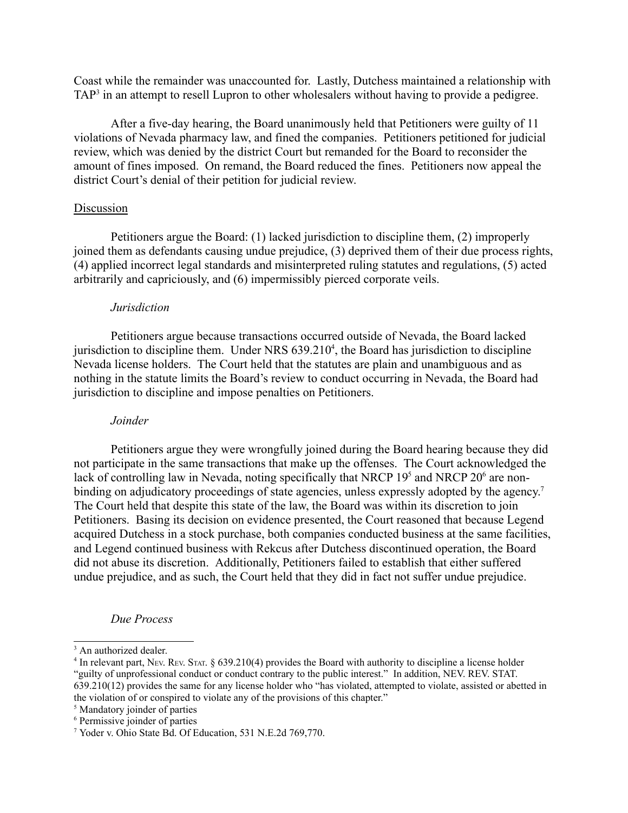Coast while the remainder was unaccounted for. Lastly, Dutchess maintained a relationship with TAP<sup>3</sup> in an attempt to resell Lupron to other wholesalers without having to provide a pedigree.

After a five-day hearing, the Board unanimously held that Petitioners were guilty of 11 violations of Nevada pharmacy law, and fined the companies. Petitioners petitioned for judicial review, which was denied by the district Court but remanded for the Board to reconsider the amount of fines imposed. On remand, the Board reduced the fines. Petitioners now appeal the district Court's denial of their petition for judicial review.

#### Discussion

Petitioners argue the Board: (1) lacked jurisdiction to discipline them, (2) improperly joined them as defendants causing undue prejudice, (3) deprived them of their due process rights, (4) applied incorrect legal standards and misinterpreted ruling statutes and regulations, (5) acted arbitrarily and capriciously, and (6) impermissibly pierced corporate veils.

#### *Jurisdiction*

Petitioners argue because transactions occurred outside of Nevada, the Board lacked jurisdiction to discipline them. Under NRS  $639.210<sup>4</sup>$ , the Board has jurisdiction to discipline Nevada license holders. The Court held that the statutes are plain and unambiguous and as nothing in the statute limits the Board's review to conduct occurring in Nevada, the Board had jurisdiction to discipline and impose penalties on Petitioners.

#### *Joinder*

Petitioners argue they were wrongfully joined during the Board hearing because they did not participate in the same transactions that make up the offenses. The Court acknowledged the lack of controlling law in Nevada, noting specifically that NRCP 19<sup>5</sup> and NRCP 20<sup>6</sup> are nonbinding on adjudicatory proceedings of state agencies, unless expressly adopted by the agency.<sup>7</sup> The Court held that despite this state of the law, the Board was within its discretion to join Petitioners. Basing its decision on evidence presented, the Court reasoned that because Legend acquired Dutchess in a stock purchase, both companies conducted business at the same facilities, and Legend continued business with Rekcus after Dutchess discontinued operation, the Board did not abuse its discretion. Additionally, Petitioners failed to establish that either suffered undue prejudice, and as such, the Court held that they did in fact not suffer undue prejudice.

#### *Due Process*

5 Mandatory joinder of parties

<sup>&</sup>lt;sup>3</sup> An authorized dealer.

<sup>4</sup> In relevant part, NEV. REV. STAT. § 639.210(4) provides the Board with authority to discipline a license holder "guilty of unprofessional conduct or conduct contrary to the public interest." In addition, NEV. REV. STAT. 639.210(12) provides the same for any license holder who "has violated, attempted to violate, assisted or abetted in the violation of or conspired to violate any of the provisions of this chapter."

<sup>6</sup> Permissive joinder of parties

<sup>7</sup> Yoder v. Ohio State Bd. Of Education, 531 N.E.2d 769,770.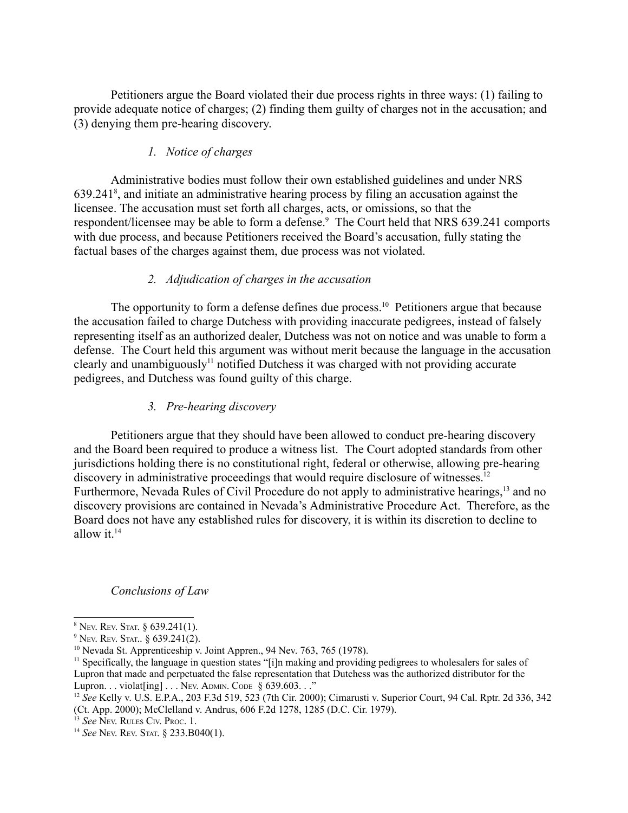Petitioners argue the Board violated their due process rights in three ways: (1) failing to provide adequate notice of charges; (2) finding them guilty of charges not in the accusation; and (3) denying them pre-hearing discovery.

# *1. Notice of charges*

Administrative bodies must follow their own established guidelines and under NRS 639.2418 , and initiate an administrative hearing process by filing an accusation against the licensee. The accusation must set forth all charges, acts, or omissions, so that the respondent/licensee may be able to form a defense.<sup>9</sup> The Court held that NRS 639.241 comports with due process, and because Petitioners received the Board's accusation, fully stating the factual bases of the charges against them, due process was not violated.

# *2. Adjudication of charges in the accusation*

The opportunity to form a defense defines due process.<sup>10</sup> Petitioners argue that because the accusation failed to charge Dutchess with providing inaccurate pedigrees, instead of falsely representing itself as an authorized dealer, Dutchess was not on notice and was unable to form a defense. The Court held this argument was without merit because the language in the accusation clearly and unambiguously<sup>11</sup> notified Dutchess it was charged with not providing accurate pedigrees, and Dutchess was found guilty of this charge.

# *3. Pre-hearing discovery*

Petitioners argue that they should have been allowed to conduct pre-hearing discovery and the Board been required to produce a witness list. The Court adopted standards from other jurisdictions holding there is no constitutional right, federal or otherwise, allowing pre-hearing discovery in administrative proceedings that would require disclosure of witnesses.<sup>12</sup> Furthermore, Nevada Rules of Civil Procedure do not apply to administrative hearings,<sup>13</sup> and no discovery provisions are contained in Nevada's Administrative Procedure Act. Therefore, as the Board does not have any established rules for discovery, it is within its discretion to decline to allow it. $14$ 

#### *Conclusions of Law*

 $8$  Nev. Rev. Stat.  $§$  639.241(1).

<sup>9</sup> NEV. REV. STAT.. § 639.241(2).

 $10$  Nevada St. Apprenticeship v. Joint Appren., 94 Nev. 763, 765 (1978).

<sup>&</sup>lt;sup>11</sup> Specifically, the language in question states "[i]n making and providing pedigrees to wholesalers for sales of Lupron that made and perpetuated the false representation that Dutchess was the authorized distributor for the Lupron. . . violat[ing] . . . Nev. ADMIN. CODE § 639.603. . ."<br><sup>12</sup> *See* Kelly v. U.S. E.P.A., 203 F.3d 519, 523 (7th Cir. 2000); Cimarusti v. Superior Court, 94 Cal. Rptr. 2d 336, 342

<sup>(</sup>Ct. App. 2000); McClelland v. Andrus, 606 F.2d 1278, 1285 (D.C. Cir. 1979).

<sup>&</sup>lt;sup>13</sup> See Nev. RULES CIV. PROC. 1.

<sup>14</sup> *See* NEV. REV. STAT. § 233.B040(1).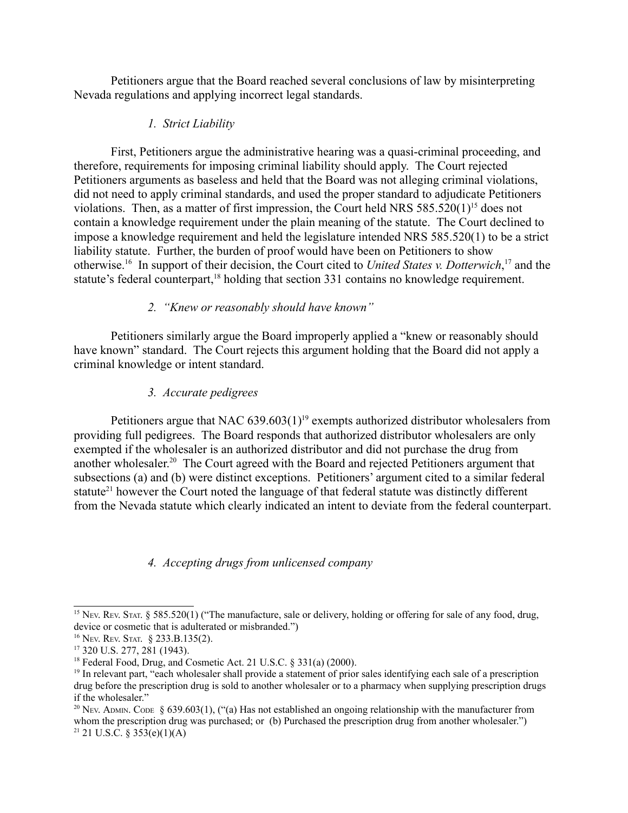Petitioners argue that the Board reached several conclusions of law by misinterpreting Nevada regulations and applying incorrect legal standards.

# *1. Strict Liability*

First, Petitioners argue the administrative hearing was a quasi-criminal proceeding, and therefore, requirements for imposing criminal liability should apply. The Court rejected Petitioners arguments as baseless and held that the Board was not alleging criminal violations, did not need to apply criminal standards, and used the proper standard to adjudicate Petitioners violations. Then, as a matter of first impression, the Court held NRS  $585.520(1)^{15}$  does not contain a knowledge requirement under the plain meaning of the statute. The Court declined to impose a knowledge requirement and held the legislature intended NRS 585.520(1) to be a strict liability statute. Further, the burden of proof would have been on Petitioners to show otherwise.16 In support of their decision, the Court cited to *United States v. Dotterwich*, 17 and the statute's federal counterpart,<sup>18</sup> holding that section 331 contains no knowledge requirement.

# *2. "Knew or reasonably should have known"*

Petitioners similarly argue the Board improperly applied a "knew or reasonably should have known" standard. The Court rejects this argument holding that the Board did not apply a criminal knowledge or intent standard.

# *3. Accurate pedigrees*

Petitioners argue that NAC  $639.603(1)^{19}$  exempts authorized distributor wholesalers from providing full pedigrees. The Board responds that authorized distributor wholesalers are only exempted if the wholesaler is an authorized distributor and did not purchase the drug from another wholesaler.20 The Court agreed with the Board and rejected Petitioners argument that subsections (a) and (b) were distinct exceptions. Petitioners' argument cited to a similar federal statute<sup>21</sup> however the Court noted the language of that federal statute was distinctly different from the Nevada statute which clearly indicated an intent to deviate from the federal counterpart.

# *4. Accepting drugs from unlicensed company*

<sup>20</sup> Nev. ADMIN. CODE § 639.603(1), ("(a) Has not established an ongoing relationship with the manufacturer from whom the prescription drug was purchased; or (b) Purchased the prescription drug from another wholesaler.")  $21 \text{ U.S.C. }$ § 353(e)(1)(A)

<sup>&</sup>lt;sup>15</sup> Nev. Rev. STAT. § 585.520(1) ("The manufacture, sale or delivery, holding or offering for sale of any food, drug, device or cosmetic that is adulterated or misbranded.")

<sup>&</sup>lt;sup>16</sup> Nev. Rev. Stat. § 233.B.135(2).<br><sup>17</sup> 320 U.S. 277, 281 (1943).

<sup>&</sup>lt;sup>18</sup> Federal Food, Drug, and Cosmetic Act. 21 U.S.C. § 331(a) (2000).

<sup>&</sup>lt;sup>19</sup> In relevant part, "each wholesaler shall provide a statement of prior sales identifying each sale of a prescription drug before the prescription drug is sold to another wholesaler or to a pharmacy when supplying prescription drugs if the wholesaler."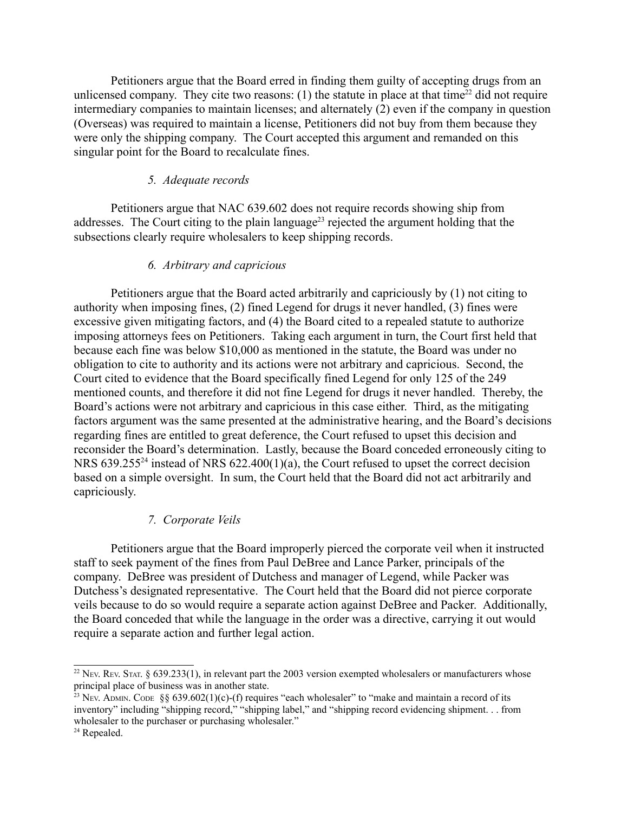Petitioners argue that the Board erred in finding them guilty of accepting drugs from an unlicensed company. They cite two reasons:  $(1)$  the statute in place at that time<sup>22</sup> did not require intermediary companies to maintain licenses; and alternately (2) even if the company in question (Overseas) was required to maintain a license, Petitioners did not buy from them because they were only the shipping company. The Court accepted this argument and remanded on this singular point for the Board to recalculate fines.

#### *5. Adequate records*

Petitioners argue that NAC 639.602 does not require records showing ship from addresses. The Court citing to the plain language<sup>23</sup> rejected the argument holding that the subsections clearly require wholesalers to keep shipping records.

#### *6. Arbitrary and capricious*

Petitioners argue that the Board acted arbitrarily and capriciously by (1) not citing to authority when imposing fines, (2) fined Legend for drugs it never handled, (3) fines were excessive given mitigating factors, and (4) the Board cited to a repealed statute to authorize imposing attorneys fees on Petitioners. Taking each argument in turn, the Court first held that because each fine was below \$10,000 as mentioned in the statute, the Board was under no obligation to cite to authority and its actions were not arbitrary and capricious. Second, the Court cited to evidence that the Board specifically fined Legend for only 125 of the 249 mentioned counts, and therefore it did not fine Legend for drugs it never handled. Thereby, the Board's actions were not arbitrary and capricious in this case either. Third, as the mitigating factors argument was the same presented at the administrative hearing, and the Board's decisions regarding fines are entitled to great deference, the Court refused to upset this decision and reconsider the Board's determination. Lastly, because the Board conceded erroneously citing to NRS 639.255<sup>24</sup> instead of NRS 622.400(1)(a), the Court refused to upset the correct decision based on a simple oversight. In sum, the Court held that the Board did not act arbitrarily and capriciously.

### *7. Corporate Veils*

Petitioners argue that the Board improperly pierced the corporate veil when it instructed staff to seek payment of the fines from Paul DeBree and Lance Parker, principals of the company. DeBree was president of Dutchess and manager of Legend, while Packer was Dutchess's designated representative. The Court held that the Board did not pierce corporate veils because to do so would require a separate action against DeBree and Packer. Additionally, the Board conceded that while the language in the order was a directive, carrying it out would require a separate action and further legal action.

<sup>&</sup>lt;sup>22</sup> Nev. Rev. Stat. § 639.233(1), in relevant part the 2003 version exempted wholesalers or manufacturers whose principal place of business was in another state.

<sup>&</sup>lt;sup>23</sup> Nev. ADMIN. CODE §§ 639.602(1)(c)-(f) requires "each wholesaler" to "make and maintain a record of its inventory" including "shipping record," "shipping label," and "shipping record evidencing shipment. . . from wholesaler to the purchaser or purchasing wholesaler."

<sup>24</sup> Repealed.